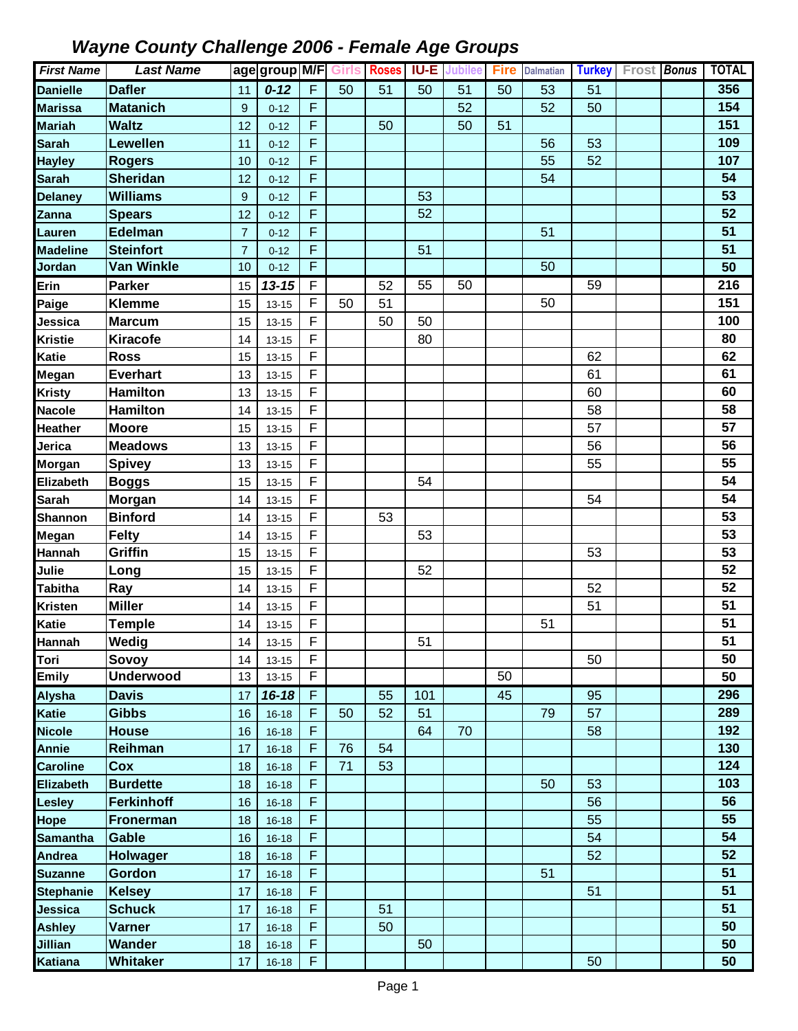| <b>First Name</b> | <b>Last Name</b>  |                  | age group M/F |    | <b>Girls</b> | <b>Roses</b> | <b>IU-E</b>     | Jubilee | <b>Fire</b> | <b>Dalmatian</b> | <b>Turkey</b>   | Frost Bonus | <b>TOTAL</b>     |
|-------------------|-------------------|------------------|---------------|----|--------------|--------------|-----------------|---------|-------------|------------------|-----------------|-------------|------------------|
| <b>Danielle</b>   | <b>Dafler</b>     | 11               | $0 - 12$      | F  | 50           | 51           | 50              | 51      | 50          | 53               | 51              |             | 356              |
| <b>Marissa</b>    | <b>Matanich</b>   | $\boldsymbol{9}$ | $0 - 12$      | F  |              |              |                 | 52      |             | 52               | 50              |             | 154              |
| <b>Mariah</b>     | <b>Waltz</b>      | 12               | $0 - 12$      | F  |              | 50           |                 | 50      | 51          |                  |                 |             | 151              |
| <b>Sarah</b>      | Lewellen          | 11               | $0 - 12$      | F  |              |              |                 |         |             | 56               | 53              |             | 109              |
| <b>Hayley</b>     | <b>Rogers</b>     | 10               | $0 - 12$      | F  |              |              |                 |         |             | 55               | 52              |             | 107              |
| <b>Sarah</b>      | <b>Sheridan</b>   | 12               | $0 - 12$      | F  |              |              |                 |         |             | 54               |                 |             | 54               |
| <b>Delaney</b>    | <b>Williams</b>   | 9                | $0 - 12$      | F  |              |              | 53              |         |             |                  |                 |             | 53               |
| Zanna             | <b>Spears</b>     | 12               | $0 - 12$      | F  |              |              | 52              |         |             |                  |                 |             | 52               |
| Lauren            | Edelman           | $\overline{7}$   | $0 - 12$      | F  |              |              |                 |         |             | 51               |                 |             | 51               |
| <b>Madeline</b>   | <b>Steinfort</b>  | $\overline{7}$   | $0 - 12$      | F  |              |              | 51              |         |             |                  |                 |             | 51               |
| Jordan            | <b>Van Winkle</b> | 10               | $0 - 12$      | F  |              |              |                 |         |             | 50               |                 |             | 50               |
| Erin              | <b>Parker</b>     | 15               | $13 - 15$     | F  |              | 52           | $\overline{55}$ | 50      |             |                  | $\overline{59}$ |             | $\overline{216}$ |
| Paige             | <b>Klemme</b>     | 15               | $13 - 15$     | F  | 50           | 51           |                 |         |             | 50               |                 |             | 151              |
| Jessica           | <b>Marcum</b>     | 15               | $13 - 15$     | F  |              | 50           | 50              |         |             |                  |                 |             | 100              |
| <b>Kristie</b>    | <b>Kiracofe</b>   | 14               | $13 - 15$     | F  |              |              | 80              |         |             |                  |                 |             | 80               |
| <b>Katie</b>      | <b>Ross</b>       | 15               | $13 - 15$     | F  |              |              |                 |         |             |                  | 62              |             | 62               |
| Megan             | <b>Everhart</b>   | 13               | $13 - 15$     | F  |              |              |                 |         |             |                  | 61              |             | 61               |
| <b>Kristy</b>     | <b>Hamilton</b>   | 13               | $13 - 15$     | F  |              |              |                 |         |             |                  | 60              |             | 60               |
| <b>Nacole</b>     | <b>Hamilton</b>   | 14               | $13 - 15$     | F  |              |              |                 |         |             |                  | 58              |             | 58               |
| Heather           | <b>Moore</b>      | 15               | $13 - 15$     | F  |              |              |                 |         |             |                  | 57              |             | 57               |
| Jerica            | <b>Meadows</b>    | 13               | $13 - 15$     | F  |              |              |                 |         |             |                  | 56              |             | 56               |
| Morgan            | <b>Spivey</b>     | 13               | $13 - 15$     | F  |              |              |                 |         |             |                  | 55              |             | 55               |
| Elizabeth         | <b>Boggs</b>      | 15               | $13 - 15$     | F  |              |              | 54              |         |             |                  |                 |             | 54               |
| <b>Sarah</b>      | Morgan            | 14               | $13 - 15$     | F  |              |              |                 |         |             |                  | 54              |             | 54               |
| Shannon           | <b>Binford</b>    | 14               | $13 - 15$     | F  |              | 53           |                 |         |             |                  |                 |             | 53               |
| Megan             | <b>Felty</b>      | 14               | $13 - 15$     | F  |              |              | 53              |         |             |                  |                 |             | 53               |
| Hannah            | Griffin           | 15               | $13 - 15$     | F  |              |              |                 |         |             |                  | 53              |             | 53               |
| Julie             | Long              | 15               | $13 - 15$     | F  |              |              | 52              |         |             |                  |                 |             | 52               |
| <b>Tabitha</b>    | Ray               | 14               | $13 - 15$     | F  |              |              |                 |         |             |                  | 52              |             | 52               |
| <b>Kristen</b>    | <b>Miller</b>     | 14               | $13 - 15$     | F  |              |              |                 |         |             |                  | 51              |             | 51               |
| <b>Katie</b>      | <b>Temple</b>     | 14               | $13 - 15$     | F  |              |              |                 |         |             | 51               |                 |             | 51               |
| Hannah            | Wedig             | 14               | $13 - 15$     | F  |              |              | 51              |         |             |                  |                 |             | 51               |
| Tori              | Sovoy             | 14               | $13 - 15$     | F  |              |              |                 |         |             |                  | 50              |             | 50               |
| <b>Emily</b>      | <b>Underwood</b>  | 13               | $13 - 15$     | F  |              |              |                 |         | 50          |                  |                 |             | 50               |
| <b>Alysha</b>     | <b>Davis</b>      | 17               | $16 - 18$     | F  |              | 55           | 101             |         | 45          |                  | 95              |             | 296              |
| <b>Katie</b>      | <b>Gibbs</b>      | 16               | $16 - 18$     | F  | 50           | 52           | 51              |         |             | 79               | 57              |             | 289              |
| <b>Nicole</b>     | <b>House</b>      | 16               | $16 - 18$     | F  |              |              | 64              | 70      |             |                  | 58              |             | 192              |
| <b>Annie</b>      | Reihman           | 17               | $16 - 18$     | F  | 76           | 54           |                 |         |             |                  |                 |             | 130              |
| <b>Caroline</b>   | Cox               | 18               | $16 - 18$     | F  | 71           | 53           |                 |         |             |                  |                 |             | 124              |
| Elizabeth         | <b>Burdette</b>   | 18               | $16 - 18$     | F  |              |              |                 |         |             | 50               | 53              |             | 103              |
| <b>Lesley</b>     | <b>Ferkinhoff</b> | 16               | $16 - 18$     | F  |              |              |                 |         |             |                  | 56              |             | 56               |
| Hope              | <b>Fronerman</b>  | 18               | $16 - 18$     | F  |              |              |                 |         |             |                  | 55              |             | 55               |
| <b>Samantha</b>   | Gable             | 16               | $16 - 18$     | F  |              |              |                 |         |             |                  | 54              |             | 54               |
| Andrea            | Holwager          | 18               | $16 - 18$     | F  |              |              |                 |         |             |                  | 52              |             | 52               |
| <b>Suzanne</b>    | <b>Gordon</b>     | 17               | $16 - 18$     | F  |              |              |                 |         |             | 51               |                 |             | 51               |
| <b>Stephanie</b>  | <b>Kelsey</b>     | 17               | $16 - 18$     | F  |              |              |                 |         |             |                  | 51              |             | 51               |
| Jessica           | <b>Schuck</b>     | 17               | $16 - 18$     | F  |              | 51           |                 |         |             |                  |                 |             | 51               |
| <b>Ashley</b>     | <b>Varner</b>     | 17               | $16 - 18$     | F  |              | 50           |                 |         |             |                  |                 |             | 50               |
| <b>Jillian</b>    | Wander            | 18               | $16 - 18$     | F  |              |              | 50              |         |             |                  |                 |             | 50               |
| Katiana           | Whitaker          | 17               | $16 - 18$     | F. |              |              |                 |         |             |                  | 50              |             | 50               |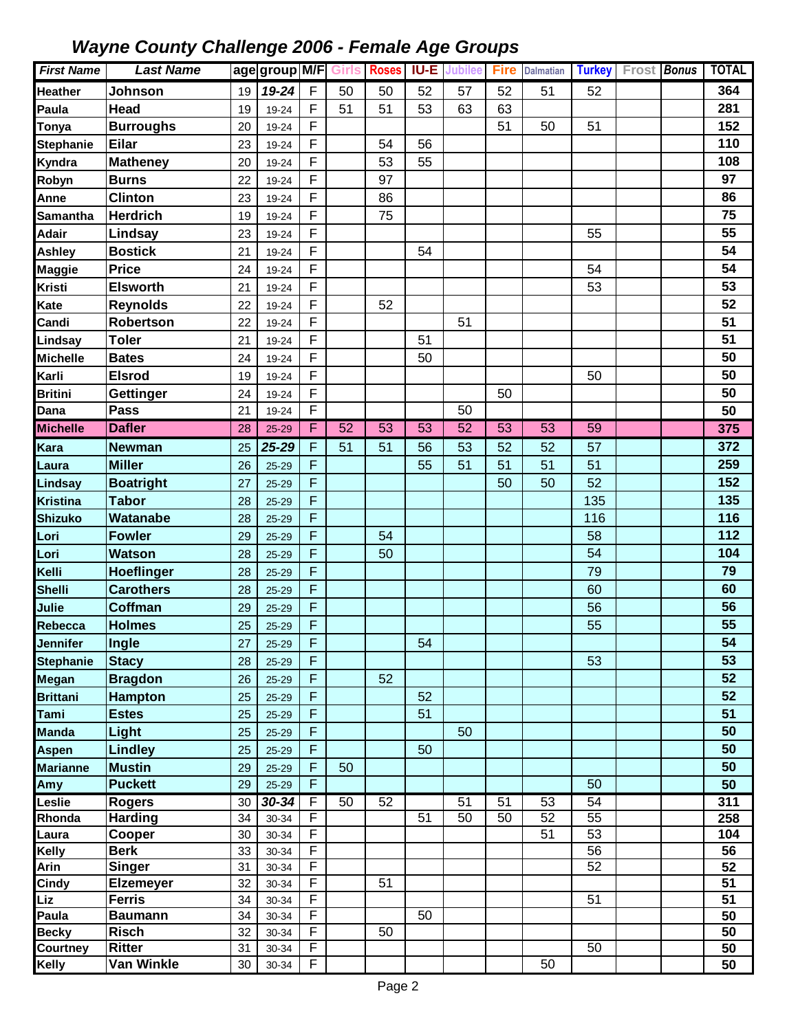| <b>First Name</b> | <b>Last Name</b>  |    | age group M/F |         | <b>Girls</b>    | Roses           |                 | <b>IU-E</b> Jubilee | <b>Fire</b>     | <b>Dalmatian</b> | Turkey Frost Bonus |  | <b>TOTAL</b> |
|-------------------|-------------------|----|---------------|---------|-----------------|-----------------|-----------------|---------------------|-----------------|------------------|--------------------|--|--------------|
| <b>Heather</b>    | Johnson           | 19 | 19-24         | F.      | 50              | 50              | 52              | 57                  | 52              | 51               | 52                 |  | 364          |
| Paula             | Head              | 19 | 19-24         | F       | 51              | 51              | 53              | 63                  | 63              |                  |                    |  | 281          |
| Tonya             | <b>Burroughs</b>  | 20 | 19-24         | F       |                 |                 |                 |                     | 51              | 50               | 51                 |  | 152          |
| <b>Stephanie</b>  | <b>Eilar</b>      | 23 | 19-24         | F       |                 | 54              | 56              |                     |                 |                  |                    |  | 110          |
| Kyndra            | <b>Matheney</b>   | 20 | 19-24         | F       |                 | 53              | 55              |                     |                 |                  |                    |  | 108          |
| Robyn             | <b>Burns</b>      | 22 | 19-24         | F       |                 | 97              |                 |                     |                 |                  |                    |  | 97           |
| Anne              | <b>Clinton</b>    | 23 | 19-24         | F       |                 | 86              |                 |                     |                 |                  |                    |  | 86           |
| <b>Samantha</b>   | <b>Herdrich</b>   | 19 | 19-24         | F       |                 | 75              |                 |                     |                 |                  |                    |  | 75           |
| <b>Adair</b>      | Lindsay           | 23 | 19-24         | F       |                 |                 |                 |                     |                 |                  | 55                 |  | 55           |
| Ashley            | <b>Bostick</b>    | 21 | 19-24         | F       |                 |                 | 54              |                     |                 |                  |                    |  | 54           |
| Maggie            | Price             | 24 | 19-24         | F       |                 |                 |                 |                     |                 |                  | 54                 |  | 54           |
| <b>Kristi</b>     | <b>Elsworth</b>   | 21 | 19-24         | F       |                 |                 |                 |                     |                 |                  | 53                 |  | 53           |
| Kate              | <b>Reynolds</b>   | 22 | 19-24         | F       |                 | 52              |                 |                     |                 |                  |                    |  | 52           |
| Candi             | Robertson         | 22 | 19-24         | F       |                 |                 |                 | 51                  |                 |                  |                    |  | 51           |
| Lindsay           | <b>Toler</b>      | 21 | 19-24         | F       |                 |                 | 51              |                     |                 |                  |                    |  | 51           |
| <b>Michelle</b>   | <b>Bates</b>      | 24 | 19-24         | F       |                 |                 | 50              |                     |                 |                  |                    |  | 50           |
| Karli             | <b>Elsrod</b>     | 19 | 19-24         | F       |                 |                 |                 |                     |                 |                  | 50                 |  | 50           |
| <b>Britini</b>    | <b>Gettinger</b>  | 24 | 19-24         | F       |                 |                 |                 |                     | 50              |                  |                    |  | 50           |
| Dana              | <b>Pass</b>       | 21 | 19-24         | F       |                 |                 |                 | 50                  |                 |                  |                    |  | 50           |
| <b>Michelle</b>   | <b>Dafler</b>     | 28 | 25-29         | F       | $\overline{52}$ | $\overline{53}$ | $\overline{53}$ | $\overline{52}$     | $\overline{53}$ | 53               | $\overline{59}$    |  | 375          |
| Kara              | <b>Newman</b>     | 25 | 25-29         | F       | 51              | 51              | 56              | 53                  | 52              | 52               | 57                 |  | 372          |
| Laura             | <b>Miller</b>     | 26 | $25 - 29$     | F       |                 |                 | 55              | 51                  | 51              | 51               | 51                 |  | 259          |
| Lindsay           | <b>Boatright</b>  | 27 | $25 - 29$     | F       |                 |                 |                 |                     | 50              | 50               | 52                 |  | 152          |
| <b>Kristina</b>   | <b>Tabor</b>      | 28 | $25 - 29$     | F       |                 |                 |                 |                     |                 |                  | 135                |  | 135          |
| <b>Shizuko</b>    | Watanabe          | 28 | $25 - 29$     | F       |                 |                 |                 |                     |                 |                  | 116                |  | 116          |
| Lori              | <b>Fowler</b>     | 29 | $25 - 29$     | F       |                 | 54              |                 |                     |                 |                  | 58                 |  | 112          |
| Lori              | <b>Watson</b>     | 28 | 25-29         | F       |                 | 50              |                 |                     |                 |                  | 54                 |  | 104          |
| Kelli             | <b>Hoeflinger</b> | 28 | $25 - 29$     | F       |                 |                 |                 |                     |                 |                  | 79                 |  | 79           |
| <b>Shelli</b>     | <b>Carothers</b>  | 28 | $25 - 29$     | F       |                 |                 |                 |                     |                 |                  | 60                 |  | 60           |
| Julie             | Coffman           | 29 | 25-29         | F       |                 |                 |                 |                     |                 |                  | 56                 |  | 56           |
| Rebecca           | <b>Holmes</b>     | 25 | 25-29         | F       |                 |                 |                 |                     |                 |                  | 55                 |  | 55           |
| Jennifer          | Ingle             | 27 | 25-29         | F.      |                 |                 | 54              |                     |                 |                  |                    |  | 54           |
| <b>Stephanie</b>  | <b>Stacy</b>      | 28 | 25-29         | л.<br>F |                 |                 |                 |                     |                 |                  | 53                 |  | 53           |
| Megan             | <b>Bragdon</b>    | 26 | 25-29         | F       |                 | 52              |                 |                     |                 |                  |                    |  | 52           |
| <b>Brittani</b>   | <b>Hampton</b>    | 25 | 25-29         | F       |                 |                 | 52              |                     |                 |                  |                    |  | 52           |
| Tami              | <b>Estes</b>      | 25 | 25-29         | F       |                 |                 | 51              |                     |                 |                  |                    |  | 51           |
| <b>Manda</b>      | Light             | 25 | 25-29         | F       |                 |                 |                 | 50                  |                 |                  |                    |  | 50           |
| <b>Aspen</b>      | <b>Lindley</b>    | 25 | 25-29         | F       |                 |                 | 50              |                     |                 |                  |                    |  | 50           |
| <b>Marianne</b>   | <b>Mustin</b>     | 29 | 25-29         | F       | 50              |                 |                 |                     |                 |                  |                    |  | 50           |
| Amy               | <b>Puckett</b>    | 29 | 25-29         | F       |                 |                 |                 |                     |                 |                  | 50                 |  | 50           |
| Leslie            | <b>Rogers</b>     | 30 | $30 - 34$     | F       | 50              | 52              |                 | 51                  | 51              | 53               | 54                 |  | 311          |
| Rhonda            | <b>Harding</b>    | 34 | 30-34         | F       |                 |                 | 51              | 50                  | 50              | 52               | 55                 |  | 258          |
| Laura             | Cooper            | 30 | 30-34         | F       |                 |                 |                 |                     |                 | 51               | 53                 |  | 104          |
| Kelly             | <b>Berk</b>       | 33 | 30-34         | F       |                 |                 |                 |                     |                 |                  | 56                 |  | 56           |
| Arin              | <b>Singer</b>     | 31 | 30-34         | F       |                 |                 |                 |                     |                 |                  | 52                 |  | 52           |
| Cindy             | <b>Elzemeyer</b>  | 32 | 30-34         | F       |                 | 51              |                 |                     |                 |                  |                    |  | 51           |
| Liz               | <b>Ferris</b>     | 34 | 30-34         | F       |                 |                 |                 |                     |                 |                  | 51                 |  | 51           |
| Paula             | <b>Baumann</b>    | 34 | 30-34         | F       |                 |                 | 50              |                     |                 |                  |                    |  | 50           |
| <b>Becky</b>      | <b>Risch</b>      | 32 | 30-34         | F<br>F  |                 | 50              |                 |                     |                 |                  |                    |  | 50           |
| Courtney          | <b>Ritter</b>     | 31 | 30-34         | F       |                 |                 |                 |                     |                 |                  | 50                 |  | 50           |
| Kelly             | Van Winkle        | 30 | 30-34         |         |                 |                 |                 |                     |                 | 50               |                    |  | 50           |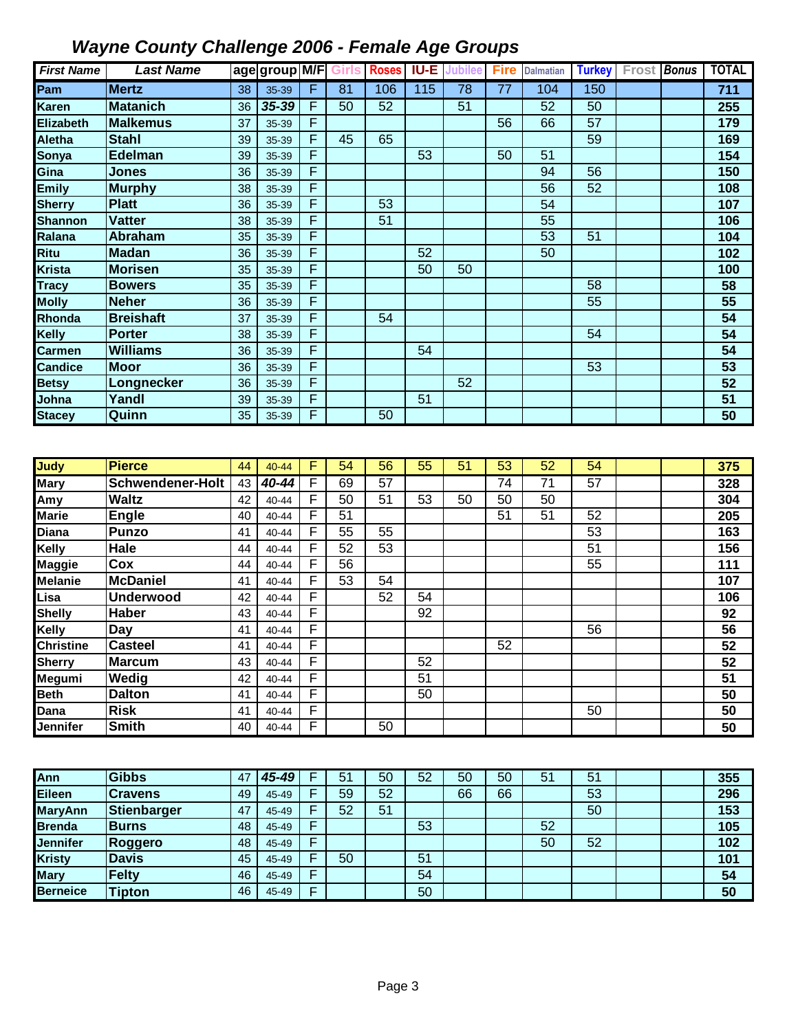| <b>First Name</b> | <b>Last Name</b> |    | age group M/F |   | Girls | <b>Roses</b> | <b>IU-E</b> | Jubilee | Fire | <b>Dalmatian</b> | <b>Turkey</b> | Frost Bonus | <b>TOTAL</b> |
|-------------------|------------------|----|---------------|---|-------|--------------|-------------|---------|------|------------------|---------------|-------------|--------------|
| Pam               | <b>Mertz</b>     | 38 | 35-39         | F | 81    | 106          | 115         | 78      | 77   | 104              | 150           |             | 711          |
| <b>Karen</b>      | <b>Matanich</b>  | 36 | 35-39         | F | 50    | 52           |             | 51      |      | 52               | 50            |             | 255          |
| <b>Elizabeth</b>  | <b>Malkemus</b>  | 37 | 35-39         | F |       |              |             |         | 56   | 66               | 57            |             | 179          |
| <b>Aletha</b>     | <b>Stahl</b>     | 39 | 35-39         | F | 45    | 65           |             |         |      |                  | 59            |             | 169          |
| Sonya             | Edelman          | 39 | 35-39         | F |       |              | 53          |         | 50   | 51               |               |             | 154          |
| Gina              | Jones            | 36 | 35-39         | F |       |              |             |         |      | 94               | 56            |             | 150          |
| <b>Emily</b>      | <b>Murphy</b>    | 38 | 35-39         | F |       |              |             |         |      | 56               | 52            |             | 108          |
| <b>Sherry</b>     | <b>Platt</b>     | 36 | 35-39         | F |       | 53           |             |         |      | 54               |               |             | 107          |
| <b>Shannon</b>    | <b>Vatter</b>    | 38 | 35-39         | F |       | 51           |             |         |      | 55               |               |             | 106          |
| Ralana            | <b>Abraham</b>   | 35 | 35-39         | F |       |              |             |         |      | 53               | 51            |             | 104          |
| <b>Ritu</b>       | <b>Madan</b>     | 36 | 35-39         | F |       |              | 52          |         |      | 50               |               |             | 102          |
| <b>Krista</b>     | <b>Morisen</b>   | 35 | 35-39         | F |       |              | 50          | 50      |      |                  |               |             | 100          |
| <b>Tracy</b>      | <b>Bowers</b>    | 35 | 35-39         | F |       |              |             |         |      |                  | 58            |             | 58           |
| <b>Molly</b>      | <b>Neher</b>     | 36 | 35-39         | F |       |              |             |         |      |                  | 55            |             | 55           |
| Rhonda            | <b>Breishaft</b> | 37 | 35-39         | F |       | 54           |             |         |      |                  |               |             | 54           |
| <b>Kelly</b>      | <b>Porter</b>    | 38 | 35-39         | F |       |              |             |         |      |                  | 54            |             | 54           |
| <b>Carmen</b>     | <b>Williams</b>  | 36 | 35-39         | F |       |              | 54          |         |      |                  |               |             | 54           |
| <b>Candice</b>    | <b>Moor</b>      | 36 | 35-39         | F |       |              |             |         |      |                  | 53            |             | 53           |
| <b>Betsy</b>      | Longnecker       | 36 | 35-39         | F |       |              |             | 52      |      |                  |               |             | 52           |
| Johna             | Yandl            | 39 | 35-39         | F |       |              | 51          |         |      |                  |               |             | 51           |
| <b>Stacey</b>     | Quinn            | 35 | 35-39         | F |       | 50           |             |         |      |                  |               |             | 50           |

| Judy             | <b>Pierce</b>    | 44 | $40 - 44$ | F | 54 | 56 | 55 | 51 | 53 | 52 | 54 |  | 375 |
|------------------|------------------|----|-----------|---|----|----|----|----|----|----|----|--|-----|
| <b>Mary</b>      | Schwendener-Holt | 43 | 40-44     | F | 69 | 57 |    |    | 74 | 71 | 57 |  | 328 |
| Amy              | <b>Waltz</b>     | 42 | 40-44     | F | 50 | 51 | 53 | 50 | 50 | 50 |    |  | 304 |
| <b>Marie</b>     | Engle            | 40 | 40-44     | F | 51 |    |    |    | 51 | 51 | 52 |  | 205 |
| <b>Diana</b>     | Punzo            | 41 | 40-44     | F | 55 | 55 |    |    |    |    | 53 |  | 163 |
| <b>Kelly</b>     | Hale             | 44 | 40-44     | F | 52 | 53 |    |    |    |    | 51 |  | 156 |
| Maggie           | Cox              | 44 | 40-44     | F | 56 |    |    |    |    |    | 55 |  | 111 |
| <b>Melanie</b>   | <b>McDaniel</b>  | 41 | 40-44     | F | 53 | 54 |    |    |    |    |    |  | 107 |
| Lisa             | Underwood        | 42 | 40-44     | F |    | 52 | 54 |    |    |    |    |  | 106 |
| <b>Shelly</b>    | Haber            | 43 | 40-44     | F |    |    | 92 |    |    |    |    |  | 92  |
| <b>Kelly</b>     | Day              | 41 | 40-44     | F |    |    |    |    |    |    | 56 |  | 56  |
| <b>Christine</b> | <b>Casteel</b>   | 41 | 40-44     | F |    |    |    |    | 52 |    |    |  | 52  |
| <b>Sherry</b>    | <b>Marcum</b>    | 43 | 40-44     | F |    |    | 52 |    |    |    |    |  | 52  |
| Megumi           | Wedig            | 42 | 40-44     | F |    |    | 51 |    |    |    |    |  | 51  |
| <b>Beth</b>      | <b>Dalton</b>    | 41 | 40-44     | F |    |    | 50 |    |    |    |    |  | 50  |
| Dana             | <b>Risk</b>      | 41 | 40-44     | F |    |    |    |    |    |    | 50 |  | 50  |
| Jennifer         | <b>Smith</b>     | 40 | 40-44     | F |    | 50 |    |    |    |    |    |  | 50  |

| Ann             | <b>Gibbs</b>   | 47 | 45-49 | 51 | 50 | 52 | 50 | 50 | 51 | 51 |  | 355 |
|-----------------|----------------|----|-------|----|----|----|----|----|----|----|--|-----|
| Eileen          | <b>Cravens</b> | 49 | 45-49 | 59 | 52 |    | 66 | 66 |    | 53 |  | 296 |
| <b>MaryAnn</b>  | Stienbarger    | 47 | 45-49 | 52 | 51 |    |    |    |    | 50 |  | 153 |
| <b>Brenda</b>   | <b>Burns</b>   | 48 | 45-49 |    |    | 53 |    |    | 52 |    |  | 105 |
| <b>Jennifer</b> | <b>Roggero</b> | 48 | 45-49 |    |    |    |    |    | 50 | 52 |  | 102 |
| <b>Kristy</b>   | <b>Davis</b>   | 45 | 45-49 | 50 |    | 51 |    |    |    |    |  | 101 |
| <b>Mary</b>     | <b>Felty</b>   | 46 | 45-49 |    |    | 54 |    |    |    |    |  | 54  |
| <b>Berneice</b> | <b>Tipton</b>  | 46 | 45-49 |    |    | 50 |    |    |    |    |  | 50  |